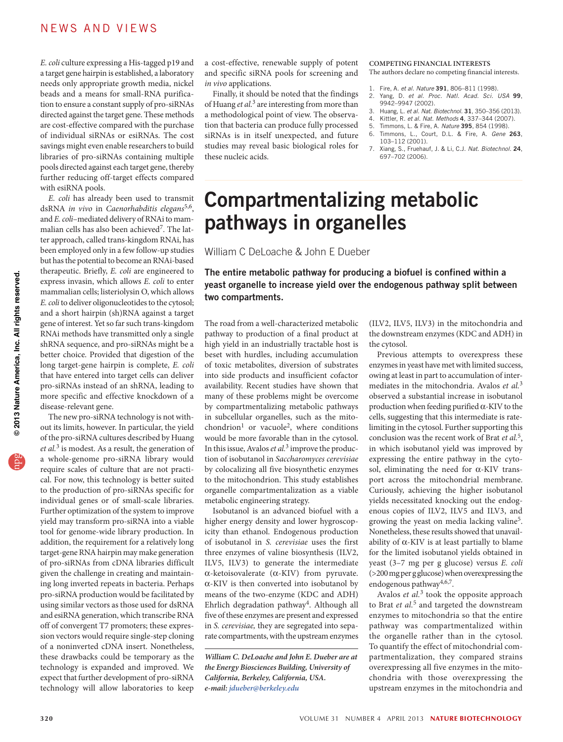## NEWS AND VIEWS

*E. coli* culture expressing a His-tagged p19 and a target gene hairpin is established, a laboratory needs only appropriate growth media, nickel beads and a means for small-RNA purification to ensure a constant supply of pro-siRNAs directed against the target gene. These methods are cost-effective compared with the purchase of individual siRNAs or esiRNAs. The cost savings might even enable researchers to build libraries of pro-siRNAs containing multiple pools directed against each target gene, thereby further reducing off-target effects compared with esiRNA pools.

*E. coli* has already been used to transmit dsRNA *in vivo* in *Caenorhabditis elegans*5,6, and *E. coli*–mediated delivery of RNAi to mammalian cells has also been achieved<sup>7</sup>. The latter approach, called trans-kingdom RNAi, has been employed only in a few follow-up studies but has the potential to become an RNAi-based therapeutic. Briefly, *E. coli* are engineered to express invasin, which allows *E. coli* to enter mammalian cells; listeriolysin O, which allows *E. coli* to deliver oligonucleotides to the cytosol; and a short hairpin (sh)RNA against a target gene of interest. Yet so far such trans-kingdom RNAi methods have transmitted only a single shRNA sequence, and pro-siRNAs might be a better choice. Provided that digestion of the long target-gene hairpin is complete, *E. coli* that have entered into target cells can deliver pro-siRNAs instead of an shRNA, leading to more specific and effective knockdown of a disease-relevant gene.

The new pro-siRNA technology is not without its limits, however. In particular, the yield of the pro-siRNA cultures described by Huang *et al.*3 is modest. As a result, the generation of a whole-genome pro-siRNA library would require scales of culture that are not practical. For now, this technology is better suited to the production of pro-siRNAs specific for individual genes or of small-scale libraries. Further optimization of the system to improve yield may transform pro-siRNA into a viable tool for genome-wide library production. In addition, the requirement for a relatively long target-gene RNA hairpin may make generation of pro-siRNAs from cDNA libraries difficult given the challenge in creating and maintaining long inverted repeats in bacteria. Perhaps pro-siRNA production would be facilitated by using similar vectors as those used for dsRNA and esiRNA generation, which transcribe RNA off of convergent T7 promoters; these expression vectors would require single-step cloning of a noninverted cDNA insert. Nonetheless, these drawbacks could be temporary as the technology is expanded and improved. We expect that further development of pro-siRNA technology will allow laboratories to keep

a cost-effective, renewable supply of potent and specific siRNA pools for screening and *in vivo* applications.

Finally, it should be noted that the findings of Huang *et al.*3 are interesting from more than a methodological point of view. The observation that bacteria can produce fully processed siRNAs is in itself unexpected, and future studies may reveal basic biological roles for these nucleic acids.

#### **COMPETING FINANCIAL INTERESTS**  The authors declare no competing financial interests.

- 1. Fire, A. *et al. Nature* 391, 806–811 (1998).
- 2. Yang, D. *et al. Proc. Natl. Acad. Sci. USA* 99, 9942–9947 (2002).
- 3. Huang, L. *et al. Nat. Biotechnol.* 31, 350–356 (2013).
- 4. Kittler, R. *et al. Nat. Methods* 4, 337–344 (2007).
- 5. Timmons, L. & Fire, A. *Nature* 395, 854 (1998).
- 6. Timmons, L., Court, D.L. & Fire, A. *Gene* 263, 103–112 (2001).
- 7. Xiang, S., Fruehauf, J. & Li, C.J. *Nat. Biotechnol.* 24, 697–702 (2006).

# Compartmentalizing metabolic pathways in organelles

William C DeLoache & John E Dueber

#### The entire metabolic pathway for producing a biofuel is confined within a yeast organelle to increase yield over the endogenous pathway split between two compartments.

The road from a well-characterized metabolic pathway to production of a final product at high yield in an industrially tractable host is beset with hurdles, including accumulation of toxic metabolites, diversion of substrates into side products and insufficient cofactor availability. Recent studies have shown that many of these problems might be overcome by compartmentalizing metabolic pathways in subcellular organelles, such as the mitochondrion<sup>1</sup> or vacuole<sup>2</sup>, where conditions would be more favorable than in the cytosol. In this issue, Avalos *et al.*3 improve the production of isobutanol in *Saccharomyces cerevisiae* by colocalizing all five biosynthetic enzymes to the mitochondrion. This study establishes organelle compartmentalization as a viable metabolic engineering strategy.

Isobutanol is an advanced biofuel with a higher energy density and lower hygroscopicity than ethanol. Endogenous production of isobutanol in *S. cerevisiae* uses the first three enzymes of valine biosynthesis (ILV2, ILV5, ILV3) to generate the intermediate α-ketoisovalerate (α-KIV) from pyruvate. α-KIV is then converted into isobutanol by means of the two-enzyme (KDC and ADH) Ehrlich degradation pathway4. Although all five of these enzymes are present and expressed in *S. cerevisiae,* they are segregated into separate compartments, with the upstream enzymes

*William C. DeLoache and John E. Dueber are at the Energy Biosciences Building, University of California, Berkeley, California, USA. e-mail: jdueber@berkeley.edu* 

(ILV2, ILV5, ILV3) in the mitochondria and the downstream enzymes (KDC and ADH) in the cytosol.

Previous attempts to overexpress these enzymes in yeast have met with limited success, owing at least in part to accumulation of intermediates in the mitochondria. Avalos *et al.*<sup>3</sup> observed a substantial increase in isobutanol production when feeding purified α-KIV to the cells, suggesting that this intermediate is ratelimiting in the cytosol. Further supporting this conclusion was the recent work of Brat *et al.*5, in which isobutanol yield was improved by expressing the entire pathway in the cytosol, eliminating the need for α-KIV transport across the mitochondrial membrane. Curiously, achieving the higher isobutanol yields necessitated knocking out the endogenous copies of ILV2, ILV5 and ILV3, and growing the yeast on media lacking valine5. Nonetheless, these results showed that unavailability of  $\alpha$ -KIV is at least partially to blame for the limited isobutanol yields obtained in yeast (3–7 mg per g glucose) versus *E. coli* (>200 mg per g glucose) when overexpressing the endogenous pathway<sup>4,6,7</sup>.

Avalos *et al.*3 took the opposite approach to Brat *et al.*5 and targeted the downstream enzymes to mitochondria so that the entire pathway was compartmentalized within the organelle rather than in the cytosol. To quantify the effect of mitochondrial compartmentalization, they compared strains overexpressing all five enzymes in the mitochondria with those overexpressing the upstream enzymes in the mitochondria and